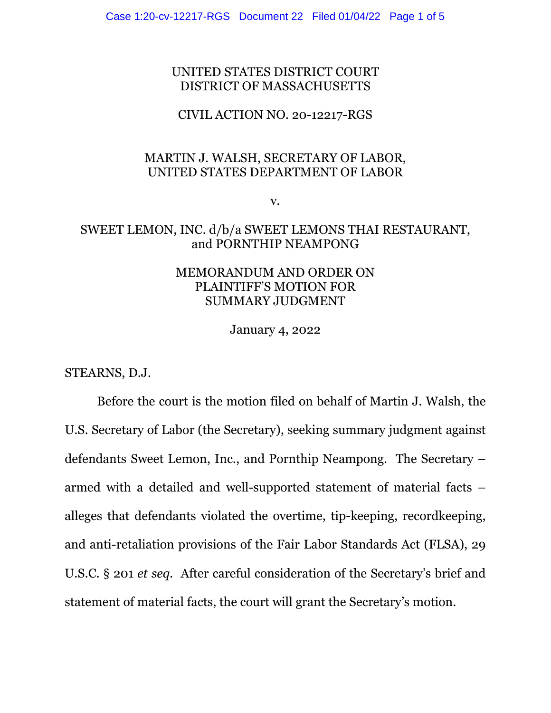### UNITED STATES DISTRICT COURT DISTRICT OF MASSACHUSETTS

### CIVIL ACTION NO. 20-12217-RGS

## MARTIN J. WALSH, SECRETARY OF LABOR, UNITED STATES DEPARTMENT OF LABOR

v.

# SWEET LEMON, INC. d/b/a SWEET LEMONS THAI RESTAURANT, and PORNTHIP NEAMPONG

## MEMORANDUM AND ORDER ON PLAINTIFF'S MOTION FOR SUMMARY JUDGMENT

January 4, 2022

STEARNS, D.J.

Before the court is the motion filed on behalf of Martin J. Walsh, the U.S. Secretary of Labor (the Secretary), seeking summary judgment against defendants Sweet Lemon, Inc., and Pornthip Neampong. The Secretary – armed with a detailed and well-supported statement of material facts – alleges that defendants violated the overtime, tip-keeping, recordkeeping, and anti-retaliation provisions of the Fair Labor Standards Act (FLSA), 29 U.S.C. § 201 *et seq.* After careful consideration of the Secretary's brief and statement of material facts, the court will grant the Secretary's motion.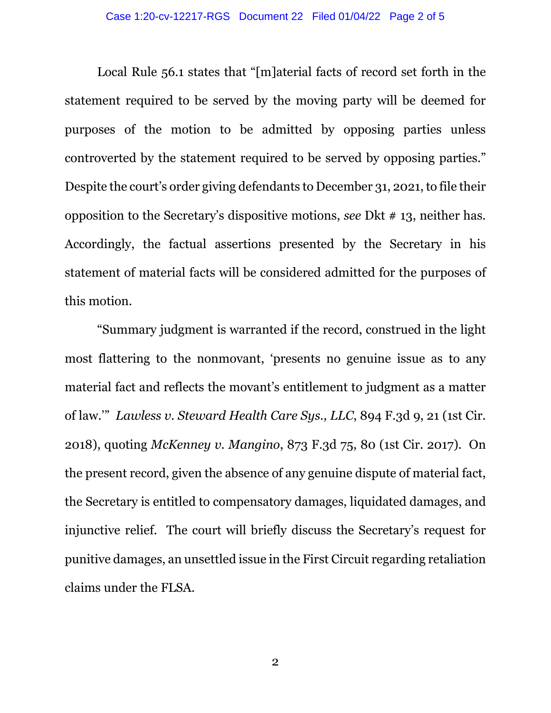Local Rule 56.1 states that "[m]aterial facts of record set forth in the statement required to be served by the moving party will be deemed for purposes of the motion to be admitted by opposing parties unless controverted by the statement required to be served by opposing parties." Despite the court's order giving defendants to December 31, 2021, to file their opposition to the Secretary's dispositive motions, *see* Dkt # 13, neither has. Accordingly, the factual assertions presented by the Secretary in his statement of material facts will be considered admitted for the purposes of this motion.

"Summary judgment is warranted if the record, construed in the light most flattering to the nonmovant, 'presents no genuine issue as to any material fact and reflects the movant's entitlement to judgment as a matter of law.'" *Lawless v. Steward Health Care Sys., LLC*, 894 F.3d 9, 21 (1st Cir. 2018), quoting *McKenney v. Mangino*, 873 F.3d 75, 80 (1st Cir. 2017). On the present record, given the absence of any genuine dispute of material fact, the Secretary is entitled to compensatory damages, liquidated damages, and injunctive relief. The court will briefly discuss the Secretary's request for punitive damages, an unsettled issue in the First Circuit regarding retaliation claims under the FLSA.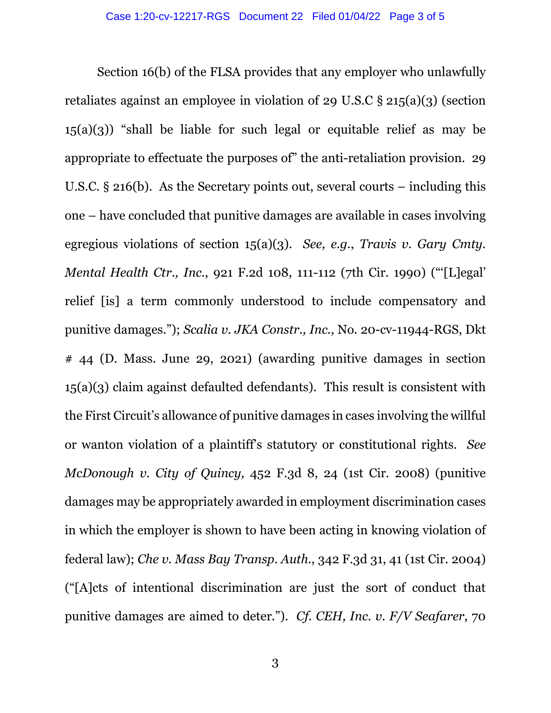Section 16(b) of the FLSA provides that any employer who unlawfully retaliates against an employee in violation of 29 U.S.C § 215(a)(3) (section  $15(a)(3)$  "shall be liable for such legal or equitable relief as may be appropriate to effectuate the purposes of" the anti-retaliation provision. 29 U.S.C. § 216(b). As the Secretary points out, several courts – including this one – have concluded that punitive damages are available in cases involving egregious violations of section 15(a)(3). *See, e.g.*, *Travis v. Gary Cmty. Mental Health Ctr., Inc.*, 921 F.2d 108, 111-112 (7th Cir. 1990) ("'[L]egal' relief [is] a term commonly understood to include compensatory and punitive damages."); *Scalia v. JKA Constr., Inc.*, No. 20-cv-11944-RGS, Dkt # 44 (D. Mass. June 29, 2021) (awarding punitive damages in section 15(a)(3) claim against defaulted defendants). This result is consistent with the First Circuit's allowance of punitive damages in cases involving the willful or wanton violation of a plaintiff's statutory or constitutional rights. *See McDonough v. City of Quincy,* 452 F.3d 8, 24 (1st Cir. 2008) (punitive damages may be appropriately awarded in employment discrimination cases in which the employer is shown to have been acting in knowing violation of federal law); *Che v. Mass Bay Transp. Auth.*, 342 F.3d 31, 41 (1st Cir. 2004) ("[A]cts of intentional discrimination are just the sort of conduct that punitive damages are aimed to deter."). *Cf. CEH, Inc. v. F/V Seafarer*, 70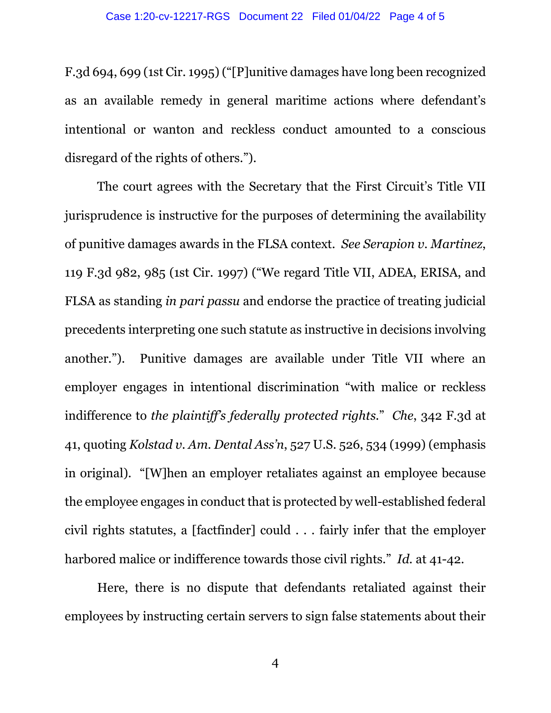F.3d 694, 699 (1st Cir. 1995) ("[P]unitive damages have long been recognized as an available remedy in general maritime actions where defendant's intentional or wanton and reckless conduct amounted to a conscious disregard of the rights of others.").

The court agrees with the Secretary that the First Circuit's Title VII jurisprudence is instructive for the purposes of determining the availability of punitive damages awards in the FLSA context. *See Serapion v. Martinez*, 119 F.3d 982, 985 (1st Cir. 1997) ("We regard Title VII, ADEA, ERISA, and FLSA as standing *in pari passu* and endorse the practice of treating judicial precedents interpreting one such statute as instructive in decisions involving another."). Punitive damages are available under Title VII where an employer engages in intentional discrimination "with malice or reckless indifference to *the plaintiff's federally protected rights*." *Che*, 342 F.3d at 41, quoting *Kolstad v. Am. Dental Ass'n*, 527 U.S. 526, 534 (1999) (emphasis in original). "[W]hen an employer retaliates against an employee because the employee engages in conduct that is protected by well-established federal civil rights statutes, a [factfinder] could . . . fairly infer that the employer harbored malice or indifference towards those civil rights." *Id.* at 41-42.

Here, there is no dispute that defendants retaliated against their employees by instructing certain servers to sign false statements about their